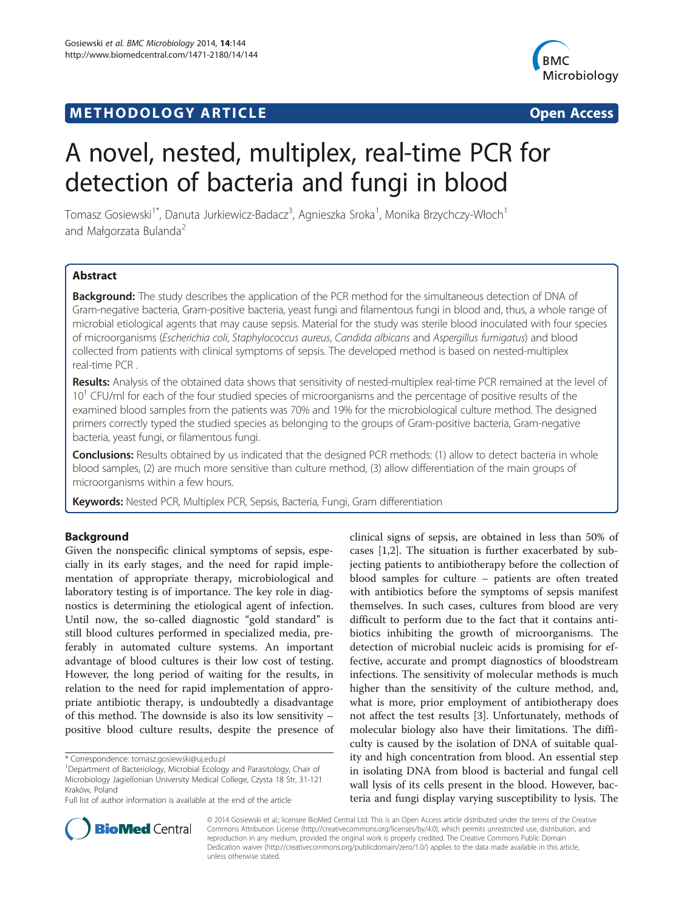# **METHODOLOGY ARTICLE Example 20 and 20 and 20 and 20 and 20 and 20 and 20 and 20 and 20 and 20 and 20 and 20 and 20 and 20 and 20 and 20 and 20 and 20 and 20 and 20 and 20 and 20 and 20 and 20 and 20 and 20 and 20 and 20**



# A novel, nested, multiplex, real-time PCR for detection of bacteria and fungi in blood

Tomasz Gosiewski<sup>1\*</sup>, Danuta Jurkiewicz-Badacz<sup>3</sup>, Agnieszka Sroka<sup>1</sup>, Monika Brzychczy-Włoch<sup>1</sup> and Małgorzata Bulanda<sup>2</sup>

# Abstract

Background: The study describes the application of the PCR method for the simultaneous detection of DNA of Gram-negative bacteria, Gram-positive bacteria, yeast fungi and filamentous fungi in blood and, thus, a whole range of microbial etiological agents that may cause sepsis. Material for the study was sterile blood inoculated with four species of microorganisms (Escherichia coli, Staphylococcus aureus, Candida albicans and Aspergillus fumigatus) and blood collected from patients with clinical symptoms of sepsis. The developed method is based on nested-multiplex real-time PCR .

Results: Analysis of the obtained data shows that sensitivity of nested-multiplex real-time PCR remained at the level of 10<sup>1</sup> CFU/ml for each of the four studied species of microorganisms and the percentage of positive results of the examined blood samples from the patients was 70% and 19% for the microbiological culture method. The designed primers correctly typed the studied species as belonging to the groups of Gram-positive bacteria, Gram-negative bacteria, yeast fungi, or filamentous fungi.

Conclusions: Results obtained by us indicated that the designed PCR methods: (1) allow to detect bacteria in whole blood samples, (2) are much more sensitive than culture method, (3) allow differentiation of the main groups of microorganisms within a few hours.

Keywords: Nested PCR, Multiplex PCR, Sepsis, Bacteria, Fungi, Gram differentiation

# Background

Given the nonspecific clinical symptoms of sepsis, especially in its early stages, and the need for rapid implementation of appropriate therapy, microbiological and laboratory testing is of importance. The key role in diagnostics is determining the etiological agent of infection. Until now, the so-called diagnostic "gold standard" is still blood cultures performed in specialized media, preferably in automated culture systems. An important advantage of blood cultures is their low cost of testing. However, the long period of waiting for the results, in relation to the need for rapid implementation of appropriate antibiotic therapy, is undoubtedly a disadvantage of this method. The downside is also its low sensitivity – positive blood culture results, despite the presence of

clinical signs of sepsis, are obtained in less than 50% of cases [[1](#page-6-0),[2\]](#page-6-0). The situation is further exacerbated by subjecting patients to antibiotherapy before the collection of blood samples for culture – patients are often treated with antibiotics before the symptoms of sepsis manifest themselves. In such cases, cultures from blood are very difficult to perform due to the fact that it contains antibiotics inhibiting the growth of microorganisms. The detection of microbial nucleic acids is promising for effective, accurate and prompt diagnostics of bloodstream infections. The sensitivity of molecular methods is much higher than the sensitivity of the culture method, and, what is more, prior employment of antibiotherapy does not affect the test results [[3](#page-6-0)]. Unfortunately, methods of molecular biology also have their limitations. The difficulty is caused by the isolation of DNA of suitable quality and high concentration from blood. An essential step in isolating DNA from blood is bacterial and fungal cell wall lysis of its cells present in the blood. However, bacteria and fungi display varying susceptibility to lysis. The



© 2014 Gosiewski et al.; licensee BioMed Central Ltd. This is an Open Access article distributed under the terms of the Creative Commons Attribution License [\(http://creativecommons.org/licenses/by/4.0\)](http://creativecommons.org/licenses/by/4.0), which permits unrestricted use, distribution, and reproduction in any medium, provided the original work is properly credited. The Creative Commons Public Domain Dedication waiver [\(http://creativecommons.org/publicdomain/zero/1.0/](http://creativecommons.org/publicdomain/zero/1.0/)) applies to the data made available in this article, unless otherwise stated.

<sup>\*</sup> Correspondence: [tomasz.gosiewski@uj.edu.pl](mailto:tomasz.gosiewski@uj.edu.pl) <sup>1</sup>

Department of Bacteriology, Microbial Ecology and Parasitology, Chair of Microbiology Jagiellonian University Medical College, Czysta 18 Str, 31-121 Kraków, Poland

Full list of author information is available at the end of the article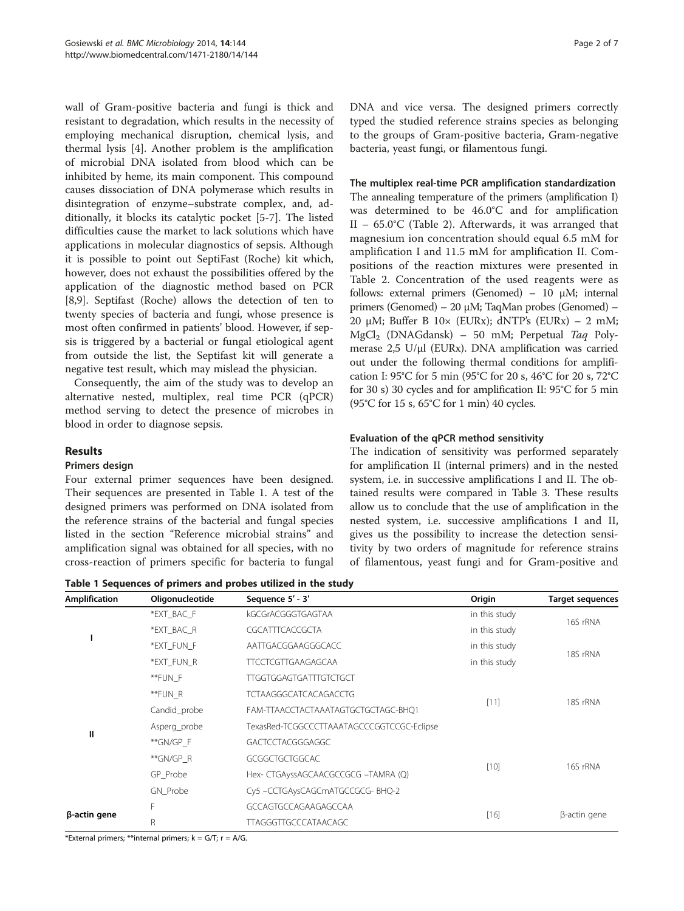<span id="page-1-0"></span>wall of Gram-positive bacteria and fungi is thick and resistant to degradation, which results in the necessity of employing mechanical disruption, chemical lysis, and thermal lysis [\[4](#page-6-0)]. Another problem is the amplification of microbial DNA isolated from blood which can be inhibited by heme, its main component. This compound causes dissociation of DNA polymerase which results in disintegration of enzyme–substrate complex, and, additionally, it blocks its catalytic pocket [[5-7](#page-6-0)]. The listed difficulties cause the market to lack solutions which have applications in molecular diagnostics of sepsis. Although it is possible to point out SeptiFast (Roche) kit which, however, does not exhaust the possibilities offered by the application of the diagnostic method based on PCR [[8,9\]](#page-6-0). Septifast (Roche) allows the detection of ten to twenty species of bacteria and fungi, whose presence is most often confirmed in patients' blood. However, if sepsis is triggered by a bacterial or fungal etiological agent from outside the list, the Septifast kit will generate a negative test result, which may mislead the physician.

Consequently, the aim of the study was to develop an alternative nested, multiplex, real time PCR (qPCR) method serving to detect the presence of microbes in blood in order to diagnose sepsis.

# Results

# Primers design

Four external primer sequences have been designed. Their sequences are presented in Table 1. A test of the designed primers was performed on DNA isolated from the reference strains of the bacterial and fungal species listed in the section "Reference microbial strains" and amplification signal was obtained for all species, with no cross-reaction of primers specific for bacteria to fungal

Table 1 Sequences of primers and probes utilized in the study

DNA and vice versa. The designed primers correctly typed the studied reference strains species as belonging to the groups of Gram-positive bacteria, Gram-negative bacteria, yeast fungi, or filamentous fungi.

#### The multiplex real-time PCR amplification standardization

The annealing temperature of the primers (amplification I) was determined to be 46.0°C and for amplification II – 65.0°C (Table [2\)](#page-2-0). Afterwards, it was arranged that magnesium ion concentration should equal 6.5 mM for amplification I and 11.5 mM for amplification II. Compositions of the reaction mixtures were presented in Table [2](#page-2-0). Concentration of the used reagents were as follows: external primers (Genomed) – 10 μM; internal primers (Genomed) – 20 μM; TaqMan probes (Genomed) – 20 μM; Buffer B  $10\times$  (EURx); dNTP's (EURx) – 2 mM; MgCl2 (DNAGdansk) – 50 mM; Perpetual Taq Polymerase 2,5 U/μl (EURx). DNA amplification was carried out under the following thermal conditions for amplification I: 95°C for 5 min (95°C for 20 s, 46°C for 20 s, 72°C for 30 s) 30 cycles and for amplification II: 95°C for 5 min (95°C for 15 s, 65°C for 1 min) 40 cycles.

# Evaluation of the qPCR method sensitivity

The indication of sensitivity was performed separately for amplification II (internal primers) and in the nested system, i.e. in successive amplifications I and II. The obtained results were compared in Table [3.](#page-3-0) These results allow us to conclude that the use of amplification in the nested system, i.e. successive amplifications I and II, gives us the possibility to increase the detection sensitivity by two orders of magnitude for reference strains of filamentous, yeast fungi and for Gram-positive and

| <b>Amplification</b> | Oligonucleotide | Sequence 5' - 3'                           | Origin        | <b>Target sequences</b> |  |
|----------------------|-----------------|--------------------------------------------|---------------|-------------------------|--|
|                      | *EXT_BAC_F      | kGCGrACGGGTGAGTAA                          | in this study | 16S rRNA                |  |
|                      | *EXT BAC R      | CGCATTTCACCGCTA                            | in this study |                         |  |
|                      | *EXT FUN F      | AATTGACGGAAGGGCACC                         | in this study | 18S rRNA                |  |
|                      | *EXT FUN R      | <b>TTCCTCGTTGAAGAGCAA</b>                  | in this study |                         |  |
|                      | **FUN F         | <b>TTGGTGGAGTGATTTGTCTGCT</b>              |               |                         |  |
|                      | **FUN R         | <b>TCTAAGGGCATCACAGACCTG</b>               | $[11]$        | 18S rRNA                |  |
|                      | Candid_probe    | FAM-TTAACCTACTAAATAGTGCTGCTAGC-BHQ1        |               |                         |  |
|                      | Asperg_probe    | TexasRed-TCGGCCCTTAAATAGCCCGGTCCGC-Eclipse |               |                         |  |
| $\mathbf{I}$         | **GN/GPF        | <b>GACTCCTACGGGAGGC</b>                    |               |                         |  |
|                      | **GN/GPR        | GCGGCTGCTGGCAC                             |               |                         |  |
|                      | GP Probe        | Hex- CTGAyssAGCAACGCCGCG -TAMRA (Q)        | $[10]$        | 16S rRNA                |  |
|                      | GN Probe        | Cy5-CCTGAysCAGCmATGCCGCG-BHQ-2             |               |                         |  |
| $\beta$ -actin gene  | F               | GCCAGTGCCAGAAGAGCCAA                       |               | $\beta$ -actin gene     |  |
|                      | R               | <b>TTAGGGTTGCCCATAACAGC</b>                | $[16]$        |                         |  |

\*External primers; \*\*internal primers;  $k = G/T$ ;  $r = A/G$ .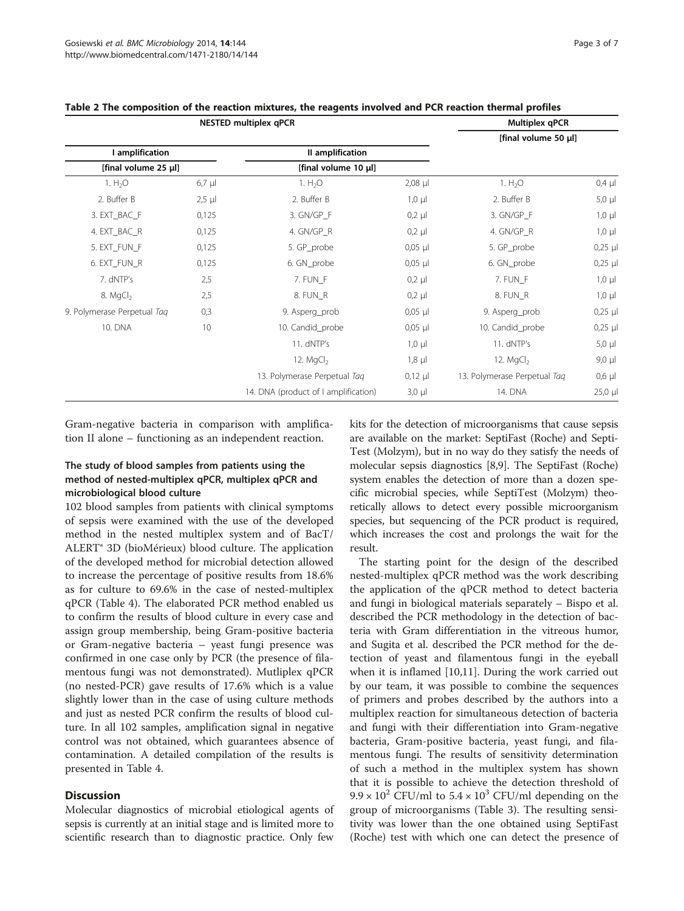|                             | Multiplex qPCR |                                      |              |                              |              |
|-----------------------------|----------------|--------------------------------------|--------------|------------------------------|--------------|
|                             |                |                                      |              | [final volume 50 µl]         |              |
| I amplification             |                | Il amplification                     |              |                              |              |
| [final volume 25 µl]        |                | [final volume 10 µl]                 |              |                              |              |
| 1. $H_2O$                   | $6,7$ µl       | 1. $H_2O$                            | $2,08$ µl    | 1. H <sub>2</sub> O          | $0,4$ µl     |
| 2. Buffer B                 | $2,5$ µ        | 2. Buffer B                          | $1,0 \mu$    | 2. Buffer B                  | $5,0 \mu$    |
| 3. EXT_BAC_F                | 0,125          | 3. GN/GP_F                           | $0,2$ µ      | 3. GN/GP_F                   | $1,0 \mu$    |
| 4. EXT_BAC_R                | 0,125          | 4. GN/GP R                           | $0,2$ µ      | 4. GN/GP R                   | $1,0 \mu$    |
| 5. EXT_FUN_F                | 0,125          | 5. GP_probe                          | $0,05$ $\mu$ | 5. GP_probe                  | $0,25$ µl    |
| 6. EXT_FUN_R                | 0,125          | 6. GN_probe                          | $0,05$ µl    | 6. GN_probe                  | $0,25$ µl    |
| 7. dNTP's                   | 2,5            | 7. FUN_F                             | $0,2$ µ      | 7. FUN_F                     | $1,0 \mu$    |
| 8. MgCl <sub>2</sub>        | 2,5            | 8. FUN_R                             | $0,2$ µl     | 8. FUN_R                     | $1,0 \mu$    |
| 9. Polymerase Perpetual Taq | 0,3            | 9. Asperg_prob                       | $0,05$ $\mu$ | 9. Asperg_prob               | $0,25$ µl    |
| 10. DNA                     | 10             | 10. Candid_probe                     | $0,05$ $\mu$ | 10. Candid_probe             | $0,25$ µl    |
|                             |                | 11. dNTP's                           | $1,0 \mu$    | 11. dNTP's                   | $5,0 \mu$    |
|                             |                | 12. $MgCl2$                          | $1,8$ µ      | 12. $MqCl2$                  | $9,0 \mu$    |
|                             |                | 13. Polymerase Perpetual Tag         | $0,12$ µl    | 13. Polymerase Perpetual Tag | $0,6$ µl     |
|                             |                | 14. DNA (product of I amplification) | $3,0 \mu$    | 14. DNA                      | $25,0 \mu l$ |

# <span id="page-2-0"></span>Table 2 The composition of the reaction mixtures, the reagents involved and PCR reaction thermal profiles

Gram-negative bacteria in comparison with amplification II alone – functioning as an independent reaction.

# The study of blood samples from patients using the method of nested-multiplex qPCR, multiplex qPCR and microbiological blood culture

102 blood samples from patients with clinical symptoms of sepsis were examined with the use of the developed method in the nested multiplex system and of BacT/ ALERT® 3D (bioMérieux) blood culture. The application of the developed method for microbial detection allowed to increase the percentage of positive results from 18.6% as for culture to 69.6% in the case of nested-multiplex qPCR (Table [4\)](#page-3-0). The elaborated PCR method enabled us to confirm the results of blood culture in every case and assign group membership, being Gram-positive bacteria or Gram-negative bacteria – yeast fungi presence was confirmed in one case only by PCR (the presence of filamentous fungi was not demonstrated). Mutliplex qPCR (no nested-PCR) gave results of 17.6% which is a value slightly lower than in the case of using culture methods and just as nested PCR confirm the results of blood culture. In all 102 samples, amplification signal in negative control was not obtained, which guarantees absence of contamination. A detailed compilation of the results is presented in Table [4](#page-3-0).

# **Discussion**

Molecular diagnostics of microbial etiological agents of sepsis is currently at an initial stage and is limited more to scientific research than to diagnostic practice. Only few

kits for the detection of microorganisms that cause sepsis are available on the market: SeptiFast (Roche) and Septi-Test (Molzym), but in no way do they satisfy the needs of molecular sepsis diagnostics [[8,9\]](#page-6-0). The SeptiFast (Roche) system enables the detection of more than a dozen specific microbial species, while SeptiTest (Molzym) theoretically allows to detect every possible microorganism species, but sequencing of the PCR product is required, which increases the cost and prolongs the wait for the result.

The starting point for the design of the described nested-multiplex qPCR method was the work describing the application of the qPCR method to detect bacteria and fungi in biological materials separately – Bispo et al. described the PCR methodology in the detection of bacteria with Gram differentiation in the vitreous humor, and Sugita et al. described the PCR method for the detection of yeast and filamentous fungi in the eyeball when it is inflamed [[10,11\]](#page-6-0). During the work carried out by our team, it was possible to combine the sequences of primers and probes described by the authors into a multiplex reaction for simultaneous detection of bacteria and fungi with their differentiation into Gram-negative bacteria, Gram-positive bacteria, yeast fungi, and filamentous fungi. The results of sensitivity determination of such a method in the multiplex system has shown that it is possible to achieve the detection threshold of  $9.9 \times 10^2$  CFU/ml to  $5.4 \times 10^3$  CFU/ml depending on the group of microorganisms (Table [3](#page-3-0)). The resulting sensitivity was lower than the one obtained using SeptiFast (Roche) test with which one can detect the presence of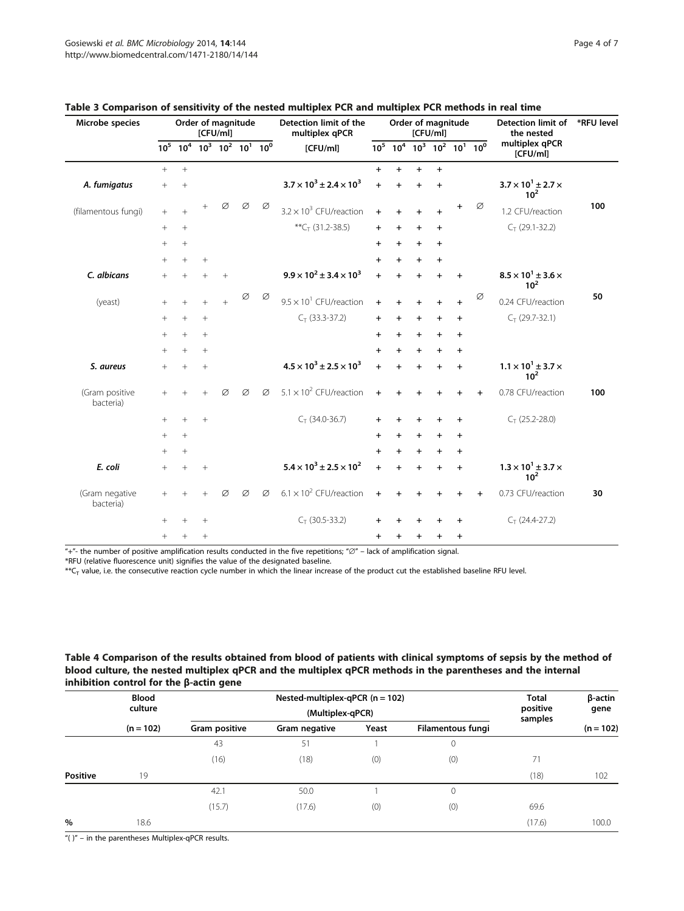| Microbe species             | Order of magnitude<br>[CFU/ml] |                  |        |                                           |   |   | Detection limit of the<br>multiplex qPCR  | Order of magnitude<br>[CFU/ml] |                                           |           |           |           |           | Detection limit of<br>the nested                      | *RFU level |
|-----------------------------|--------------------------------|------------------|--------|-------------------------------------------|---|---|-------------------------------------------|--------------------------------|-------------------------------------------|-----------|-----------|-----------|-----------|-------------------------------------------------------|------------|
|                             |                                |                  |        | $10^5$ $10^4$ $10^3$ $10^2$ $10^1$ $10^0$ |   |   | [CFU/ml]                                  |                                | $10^5$ $10^4$ $10^3$ $10^2$ $10^1$ $10^0$ |           |           |           |           | multiplex qPCR<br>[CFU/ml]                            |            |
|                             | $+$                            | $\boldsymbol{+}$ |        |                                           |   |   |                                           | $+$                            | $\ddot{}$                                 | $+$       | $\ddot{}$ |           |           |                                                       |            |
| A. fumigatus                | $^{+}$                         | $+$              |        |                                           |   |   | $3.7 \times 10^3 \pm 2.4 \times 10^3$     | $+$                            |                                           |           | $\ddot{}$ |           |           | $3.7 \times 10^{1} \pm 2.7 \times$<br>10 <sup>2</sup> |            |
| (filamentous fungi)         | $^{+}$                         | $^+$             |        | Ø                                         | Ø | Ø | $3.2 \times 10^3$ CFU/reaction            | $\ddot{}$                      | $\ddot{}$                                 | $+$       | $\ddot{}$ | $\ddot{}$ | Ø         | 1.2 CFU/reaction                                      | 100        |
|                             | $^{+}$                         | $^+$             |        |                                           |   |   | ** $C_T$ (31.2-38.5)                      | $\ddot{}$                      | $+$                                       | $+$       | $+$       |           |           | $C_T$ (29.1-32.2)                                     |            |
|                             | $^{+}$                         | $^{+}$           |        |                                           |   |   |                                           | $\ddot{}$                      | $\ddot{}$                                 | $\ddot{}$ | $+$       |           |           |                                                       |            |
|                             | $^{+}$                         | $^{+}$           |        |                                           |   |   |                                           | $\ddot{}$                      | $\ddot{}$                                 | $\ddot{}$ | $\ddot{}$ |           |           |                                                       |            |
| C. albicans                 | $^{+}$                         | $^{+}$           | $+$    |                                           |   |   | $9.9 \times 10^{2} \pm 3.4 \times 10^{3}$ | $+$                            | $\ddot{}$                                 | $+$       | $\ddot{}$ | $+$       |           | $8.5 \times 10^{1} \pm 3.6 \times$<br>10 <sup>2</sup> |            |
| (yeast)                     | $^{+}$                         | $^{+}$           | $+$    | $^{+}$                                    | Ø | Ø | $9.5 \times 10^{1}$ CFU/reaction          | $\ddot{}$                      | $\ddot{}$                                 | $\ddot{}$ | $\ddot{}$ | $\ddot{}$ | Ø         | 0.24 CFU/reaction                                     | 50         |
|                             | $^{+}$                         | $^{+}$           | $+$    |                                           |   |   | $C_T$ (33.3-37.2)                         | $\ddot{}$                      | $+$                                       | $+$       | $\ddot{}$ | $+$       |           | $C_T$ (29.7-32.1)                                     |            |
|                             | $^{+}$                         | $^{+}$           | $^{+}$ |                                           |   |   |                                           | $\ddot{}$                      | $\ddot{}$                                 | $\ddot{}$ | $\ddot{}$ | $\ddot{}$ |           |                                                       |            |
|                             | $+$                            | $^{+}$           | $+$    |                                           |   |   |                                           | $+$                            | $\ddot{}$                                 | $\ddot{}$ | $\ddot{}$ | $\ddot{}$ |           |                                                       |            |
| S. aureus                   | $^{+}$                         | $^{+}$           |        |                                           |   |   | $4.5 \times 10^3 \pm 2.5 \times 10^3$     | $\ddot{}$                      | $\ddot{}$                                 | $\ddot{}$ | $\ddot{}$ | $\ddot{}$ |           | $1.1 \times 10^{1} \pm 3.7 \times$<br>$10^2$          |            |
| (Gram positive<br>bacteria) | $+$                            | $^{+}$           | $+$    | Ø                                         | Ø | Ø | $5.1 \times 10^2$ CFU/reaction            | $\ddot{}$                      | $\ddot{}$                                 |           | $\ddot{}$ | $\ddot{}$ | $+$       | 0.78 CFU/reaction                                     | 100        |
|                             | $^{+}$                         | $^{+}$           | $+$    |                                           |   |   | $C_T$ (34.0-36.7)                         | $\ddot{}$                      | $\ddot{}$                                 | $\ddot{}$ | $\ddot{}$ | $\ddot{}$ |           | $C_T$ (25.2-28.0)                                     |            |
|                             | $^{+}$                         | $^{+}$           |        |                                           |   |   |                                           | $+$                            | $\ddot{}$                                 | $+$       | $+$       | $\ddot{}$ |           |                                                       |            |
|                             | $^{+}$                         | $^{+}$           |        |                                           |   |   |                                           | $\ddot{}$                      | $\ddot{}$                                 | $+$       | $\ddot{}$ | $\ddot{}$ |           |                                                       |            |
| E. coli                     | $^{+}$                         | $+$              | $+$    |                                           |   |   | $5.4 \times 10^3 \pm 2.5 \times 10^2$     | $+$                            | $\ddot{}$                                 | $\ddot{}$ | $\ddot{}$ | $+$       |           | $1.3 \times 10^{1} \pm 3.7 \times$<br>10 <sup>2</sup> |            |
| (Gram negative<br>bacteria) | $^{+}$                         | $^{+}$           |        | Ø                                         | Ø | Ø | $6.1 \times 10^2$ CFU/reaction            | $\ddot{}$                      |                                           |           |           |           | $\ddot{}$ | 0.73 CFU/reaction                                     | 30         |
|                             | $+$                            | $+$              |        |                                           |   |   | $C_T$ (30.5-33.2)                         | $\ddot{}$                      | $\ddot{}$                                 | $\ddot{}$ | $\ddot{}$ | $\ddot{}$ |           | $C_T$ (24.4-27.2)                                     |            |
|                             | $+$                            | $+$              | $+$    |                                           |   |   |                                           | $\ddot{}$                      |                                           |           | $\ddot{}$ | $\ddot{}$ |           |                                                       |            |

#### <span id="page-3-0"></span>Table 3 Comparison of sensitivity of the nested multiplex PCR and multiplex PCR methods in real time

 $+$ "- the number of positive amplification results conducted in the five repetitions; "Ø" – lack of amplification signal.

\*RFU (relative fluorescence unit) signifies the value of the designated baseline.

 $*_{C_T}$  value, i.e. the consecutive reaction cycle number in which the linear increase of the product cut the established baseline RFU level.

#### Table 4 Comparison of the results obtained from blood of patients with clinical symptoms of sepsis by the method of blood culture, the nested multiplex qPCR and the multiplex qPCR methods in the parentheses and the internal inhibition control for the β-actin gene

|                 | <b>Blood</b> |               | <b>Total</b>        | β-actin<br>gene |                          |        |             |
|-----------------|--------------|---------------|---------------------|-----------------|--------------------------|--------|-------------|
|                 | culture      |               | positive<br>samples |                 |                          |        |             |
|                 | $(n = 102)$  | Gram positive | Gram negative       | Yeast           | <b>Filamentous fungi</b> |        | $(n = 102)$ |
|                 |              | 43            | 51                  |                 | 0                        |        |             |
|                 |              | (16)          | (18)                | (0)             | (0)                      | 71     |             |
| <b>Positive</b> | 19           |               |                     |                 |                          | (18)   | 102         |
|                 |              | 42.1          | 50.0                |                 | $\mathbf 0$              |        |             |
|                 |              | (15.7)        | (17.6)              | (0)             | (0)                      | 69.6   |             |
| %               | 18.6         |               |                     |                 |                          | (17.6) | 100.0       |

 $^{\prime\prime}$ ( )" – in the parentheses Multiplex-qPCR results.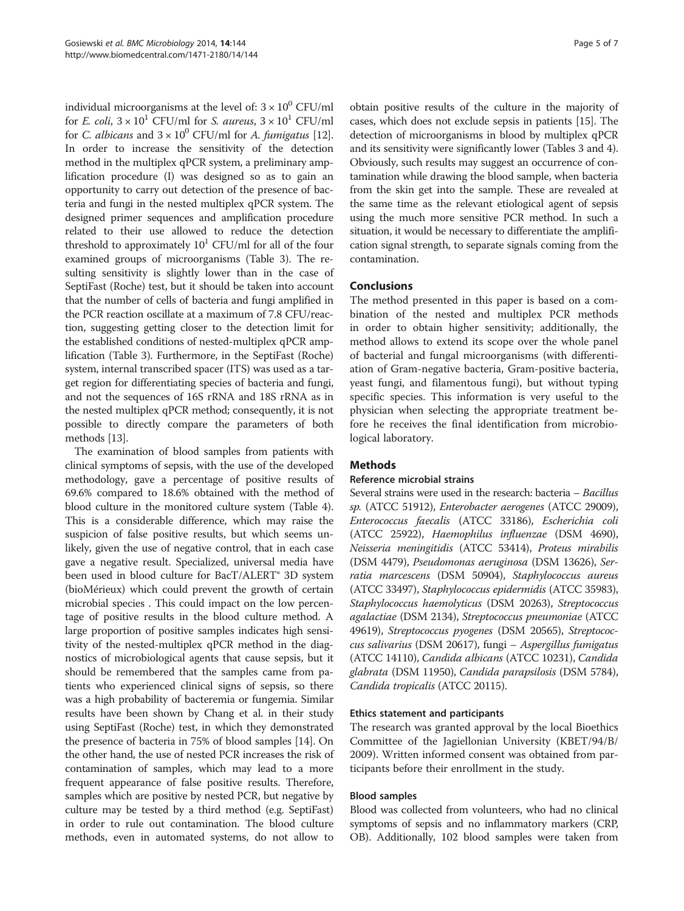individual microorganisms at the level of:  $3 \times 10^{0}$  CFU/ml for E. coli,  $3 \times 10^1$  CFU/ml for S. aureus,  $3 \times 10^1$  CFU/ml for *C. albicans* and  $3 \times 10^{0}$  CFU/ml for *A. fumigatus* [[12](#page-6-0)]. In order to increase the sensitivity of the detection method in the multiplex qPCR system, a preliminary amplification procedure (I) was designed so as to gain an opportunity to carry out detection of the presence of bacteria and fungi in the nested multiplex qPCR system. The designed primer sequences and amplification procedure related to their use allowed to reduce the detection threshold to approximately  $10^1$  CFU/ml for all of the four examined groups of microorganisms (Table [3](#page-3-0)). The resulting sensitivity is slightly lower than in the case of SeptiFast (Roche) test, but it should be taken into account that the number of cells of bacteria and fungi amplified in the PCR reaction oscillate at a maximum of 7.8 CFU/reaction, suggesting getting closer to the detection limit for the established conditions of nested-multiplex qPCR amplification (Table [3\)](#page-3-0). Furthermore, in the SeptiFast (Roche) system, internal transcribed spacer (ITS) was used as a target region for differentiating species of bacteria and fungi, and not the sequences of 16S rRNA and 18S rRNA as in the nested multiplex qPCR method; consequently, it is not possible to directly compare the parameters of both methods [\[13\]](#page-6-0).

The examination of blood samples from patients with clinical symptoms of sepsis, with the use of the developed methodology, gave a percentage of positive results of 69.6% compared to 18.6% obtained with the method of blood culture in the monitored culture system (Table [4](#page-3-0)). This is a considerable difference, which may raise the suspicion of false positive results, but which seems unlikely, given the use of negative control, that in each case gave a negative result. Specialized, universal media have been used in blood culture for BacT/ALERT<sup>®</sup> 3D system (bioMérieux) which could prevent the growth of certain microbial species . This could impact on the low percentage of positive results in the blood culture method. A large proportion of positive samples indicates high sensitivity of the nested-multiplex qPCR method in the diagnostics of microbiological agents that cause sepsis, but it should be remembered that the samples came from patients who experienced clinical signs of sepsis, so there was a high probability of bacteremia or fungemia. Similar results have been shown by Chang et al. in their study using SeptiFast (Roche) test, in which they demonstrated the presence of bacteria in 75% of blood samples [[14](#page-6-0)]. On the other hand, the use of nested PCR increases the risk of contamination of samples, which may lead to a more frequent appearance of false positive results. Therefore, samples which are positive by nested PCR, but negative by culture may be tested by a third method (e.g. SeptiFast) in order to rule out contamination. The blood culture methods, even in automated systems, do not allow to

obtain positive results of the culture in the majority of cases, which does not exclude sepsis in patients [[15](#page-6-0)]. The detection of microorganisms in blood by multiplex qPCR and its sensitivity were significantly lower (Tables [3](#page-3-0) and [4](#page-3-0)). Obviously, such results may suggest an occurrence of contamination while drawing the blood sample, when bacteria from the skin get into the sample. These are revealed at the same time as the relevant etiological agent of sepsis using the much more sensitive PCR method. In such a situation, it would be necessary to differentiate the amplification signal strength, to separate signals coming from the contamination.

# **Conclusions**

The method presented in this paper is based on a combination of the nested and multiplex PCR methods in order to obtain higher sensitivity; additionally, the method allows to extend its scope over the whole panel of bacterial and fungal microorganisms (with differentiation of Gram-negative bacteria, Gram-positive bacteria, yeast fungi, and filamentous fungi), but without typing specific species. This information is very useful to the physician when selecting the appropriate treatment before he receives the final identification from microbiological laboratory.

# **Methods**

# Reference microbial strains

Several strains were used in the research: bacteria – Bacillus sp. (ATCC 51912), Enterobacter aerogenes (ATCC 29009), Enterococcus faecalis (ATCC 33186), Escherichia coli (ATCC 25922), Haemophilus influenzae (DSM 4690), Neisseria meningitidis (ATCC 53414), Proteus mirabilis (DSM 4479), Pseudomonas aeruginosa (DSM 13626), Serratia marcescens (DSM 50904), Staphylococcus aureus (ATCC 33497), Staphylococcus epidermidis (ATCC 35983), Staphylococcus haemolyticus (DSM 20263), Streptococcus agalactiae (DSM 2134), Streptococcus pneumoniae (ATCC 49619), Streptococcus pyogenes (DSM 20565), Streptococcus salivarius (DSM 20617), fungi – Aspergillus fumigatus (ATCC 14110), Candida albicans (ATCC 10231), Candida glabrata (DSM 11950), Candida parapsilosis (DSM 5784), Candida tropicalis (ATCC 20115).

# Ethics statement and participants

The research was granted approval by the local Bioethics Committee of the Jagiellonian University (KBET/94/B/ 2009). Written informed consent was obtained from participants before their enrollment in the study.

# Blood samples

Blood was collected from volunteers, who had no clinical symptoms of sepsis and no inflammatory markers (CRP, OB). Additionally, 102 blood samples were taken from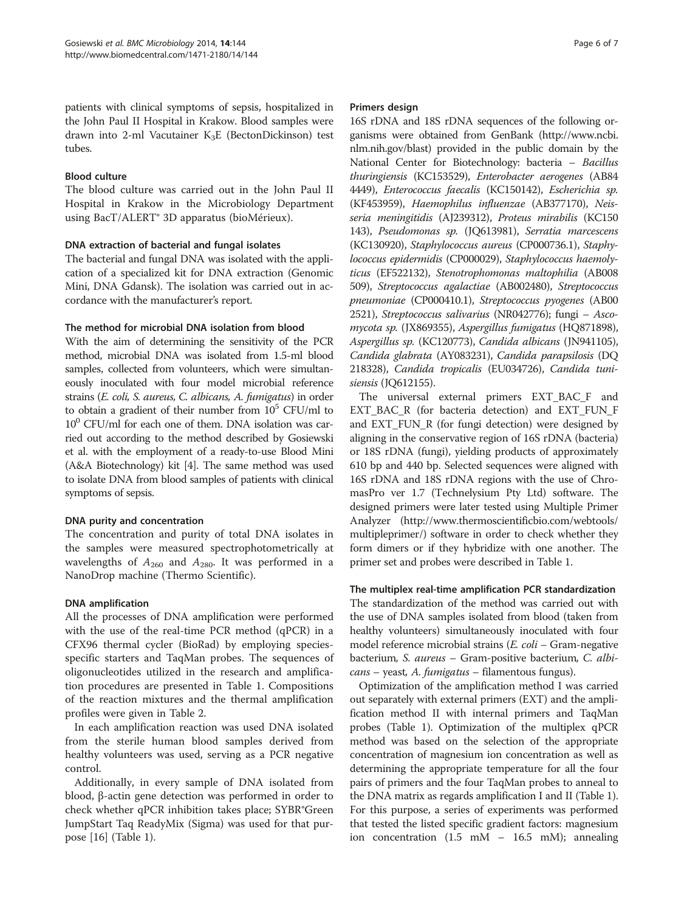patients with clinical symptoms of sepsis, hospitalized in the John Paul II Hospital in Krakow. Blood samples were drawn into 2-ml Vacutainer K3E (BectonDickinson) test tubes.

#### Blood culture

The blood culture was carried out in the John Paul II Hospital in Krakow in the Microbiology Department using BacT/ALERT<sup>®</sup> 3D apparatus (bioMérieux).

# DNA extraction of bacterial and fungal isolates

The bacterial and fungal DNA was isolated with the application of a specialized kit for DNA extraction (Genomic Mini, DNA Gdansk). The isolation was carried out in accordance with the manufacturer's report.

#### The method for microbial DNA isolation from blood

With the aim of determining the sensitivity of the PCR method, microbial DNA was isolated from 1.5-ml blood samples, collected from volunteers, which were simultaneously inoculated with four model microbial reference strains (E. coli, S. aureus, C. albicans, A. fumigatus) in order to obtain a gradient of their number from  $10^5$  CFU/ml to  $10^0$  CFU/ml for each one of them. DNA isolation was carried out according to the method described by Gosiewski et al. with the employment of a ready-to-use Blood Mini (A&A Biotechnology) kit [\[4](#page-6-0)]. The same method was used to isolate DNA from blood samples of patients with clinical symptoms of sepsis.

# DNA purity and concentration

The concentration and purity of total DNA isolates in the samples were measured spectrophotometrically at wavelengths of  $A_{260}$  and  $A_{280}$ . It was performed in a NanoDrop machine (Thermo Scientific).

#### DNA amplification

All the processes of DNA amplification were performed with the use of the real-time PCR method (qPCR) in a CFX96 thermal cycler (BioRad) by employing speciesspecific starters and TaqMan probes. The sequences of oligonucleotides utilized in the research and amplification procedures are presented in Table [1.](#page-1-0) Compositions of the reaction mixtures and the thermal amplification profiles were given in Table [2](#page-2-0).

In each amplification reaction was used DNA isolated from the sterile human blood samples derived from healthy volunteers was used, serving as a PCR negative control.

Additionally, in every sample of DNA isolated from blood, β-actin gene detection was performed in order to check whether qPCR inhibition takes place; SYBR®Green JumpStart Taq ReadyMix (Sigma) was used for that purpose [\[16](#page-6-0)] (Table [1](#page-1-0)).

#### Primers design

16S rDNA and 18S rDNA sequences of the following organisms were obtained from GenBank [\(http://www.ncbi.](http://www.ncbi.nlm.nih.gov/blast) [nlm.nih.gov/blast\)](http://www.ncbi.nlm.nih.gov/blast) provided in the public domain by the National Center for Biotechnology: bacteria – Bacillus thuringiensis (KC153529), Enterobacter aerogenes (AB84 4449), Enterococcus faecalis (KC150142), Escherichia sp. (KF453959), Haemophilus influenzae (AB377170), Neisseria meningitidis (AJ239312), Proteus mirabilis (KC150 143), Pseudomonas sp. (JQ613981), Serratia marcescens (KC130920), Staphylococcus aureus (CP000736.1), Staphylococcus epidermidis (CP000029), Staphylococcus haemolyticus (EF522132), Stenotrophomonas maltophilia (AB008 509), Streptococcus agalactiae (AB002480), Streptococcus pneumoniae (CP000410.1), Streptococcus pyogenes (AB00 2521), Streptococcus salivarius (NR042776); fungi – Ascomycota sp. (JX869355), Aspergillus fumigatus (HQ871898), Aspergillus sp. (KC120773), Candida albicans (JN941105), Candida glabrata (AY083231), Candida parapsilosis (DQ 218328), Candida tropicalis (EU034726), Candida tunisiensis (JO612155).

The universal external primers EXT\_BAC\_F and EXT\_BAC\_R (for bacteria detection) and EXT\_FUN\_F and EXT\_FUN\_R (for fungi detection) were designed by aligning in the conservative region of 16S rDNA (bacteria) or 18S rDNA (fungi), yielding products of approximately 610 bp and 440 bp. Selected sequences were aligned with 16S rDNA and 18S rDNA regions with the use of ChromasPro ver 1.7 (Technelysium Pty Ltd) software. The designed primers were later tested using Multiple Primer Analyzer ([http://www.thermoscientificbio.com/webtools/](http://www.thermoscientificbio.com/webtools/multipleprimer/) [multipleprimer/\)](http://www.thermoscientificbio.com/webtools/multipleprimer/) software in order to check whether they form dimers or if they hybridize with one another. The primer set and probes were described in Table [1.](#page-1-0)

The multiplex real-time amplification PCR standardization The standardization of the method was carried out with the use of DNA samples isolated from blood (taken from healthy volunteers) simultaneously inoculated with four model reference microbial strains  $(E. \text{ coli} - \text{Gram-negative})$ bacterium, S. aureus – Gram-positive bacterium, C. albicans – yeast, A. fumigatus – filamentous fungus).

Optimization of the amplification method I was carried out separately with external primers (EXT) and the amplification method II with internal primers and TaqMan probes (Table [1\)](#page-1-0). Optimization of the multiplex qPCR method was based on the selection of the appropriate concentration of magnesium ion concentration as well as determining the appropriate temperature for all the four pairs of primers and the four TaqMan probes to anneal to the DNA matrix as regards amplification I and II (Table [1](#page-1-0)). For this purpose, a series of experiments was performed that tested the listed specific gradient factors: magnesium ion concentration (1.5 mM – 16.5 mM); annealing